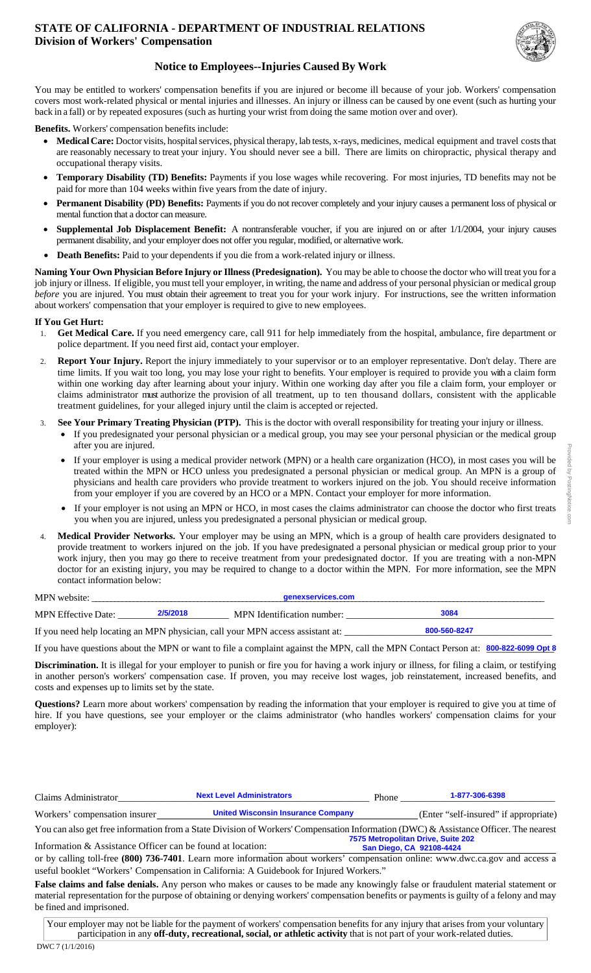#### **STATE OF CALIFORNIA - DEPARTMENT OF INDUSTRIAL RELATIONS Division of Workers' Compensation**



### **Notice to Employees--Injuries Caused By Work**

You may be entitled to workers' compensation benefits if you are injured or become ill because of your job. Workers' compensation covers most work-related physical or mental injuries and illnesses. An injury or illness can be caused by one event (such as hurting your back in a fall) or by repeated exposures (such as hurting your wrist from doing the same motion over and over).

**Benefits.** Workers' compensation benefits include:

- **Medical Care:** Doctor visits, hospital services, physical therapy, lab tests, x-rays, medicines, medical equipment and travel costs that are reasonably necessary to treat your injury. You should never see a bill. There are limits on chiropractic, physical therapy and occupational therapy visits.
- **Temporary Disability (TD) Benefits:** Payments if you lose wages while recovering. For most injuries, TD benefits may not be paid for more than 104 weeks within five years from the date of injury.
- **Permanent Disability (PD) Benefits:** Payments if you do not recover completely and your injury causes a permanent loss of physical or mental function that a doctor can measure.
- **Supplemental Job Displacement Benefit:** A nontransferable voucher, if you are injured on or after 1/1/2004, your injury causes permanent disability, and your employer does not offer you regular, modified, or alternative work.
- **Death Benefits:** Paid to your dependents if you die from a work-related injury or illness.

**Naming Your Own Physician Before Injury or Illness (Predesignation).** You may be able to choose the doctor who will treat you for a job injury or illness. If eligible, you must tell your employer, in writing, the name and address of your personal physician or medical group *before* you are injured. You must obtain their agreement to treat you for your work injury. For instructions, see the written information about workers' compensation that your employer is required to give to new employees.

#### **If You Get Hurt:**

- 1. **Get Medical Care.** If you need emergency care, call 911 for help immediately from the hospital, ambulance, fire department or police department. If you need first aid, contact your employer.
- 2. **Report Your Injury.** Report the injury immediately to your supervisor or to an employer representative. Don't delay. There are time limits. If you wait too long, you may lose your right to benefits. Your employer is required to provide you with a claim form within one working day after learning about your injury. Within one working day after you file a claim form, your employer or claims administrator must authorize the provision of all treatment, up to ten thousand dollars, consistent with the applicable treatment guidelines, for your alleged injury until the claim is accepted or rejected.
- 3. **See Your Primary Treating Physician (PTP).** This is the doctor with overall responsibility for treating your injury or illness.
	- If you predesignated your personal physician or a medical group, you may see your personal physician or the medical group after you are injured.
		- If your employer is using a medical provider network (MPN) or a health care organization (HCO), in most cases you will be treated within the MPN or HCO unless you predesignated a personal physician or medical group. An MPN is a group of physicians and health care providers who provide treatment to workers injured on the job. You should receive information from your employer if you are covered by an HCO or a MPN. Contact your employer for more information.
		- If your employer is not using an MPN or HCO, in most cases the claims administrator can choose the doctor who first treats you when you are injured, unless you predesignated a personal physician or medical group.
- 4. **Medical Provider Networks.** Your employer may be using an MPN, which is a group of health care providers designated to provide treatment to workers injured on the job. If you have predesignated a personal physician or medical group prior to your work injury, then you may go there to receive treatment from your predesignated doctor. If you are treating with a non-MPN doctor for an existing injury, you may be required to change to a doctor within the MPN. For more information, see the MPN contact information below:

| MPN website:               |          | genexservices.com                                                              |              |  |
|----------------------------|----------|--------------------------------------------------------------------------------|--------------|--|
| <b>MPN</b> Effective Date: | 2/5/2018 | MPN Identification number:                                                     | 3084         |  |
|                            |          | If you need help locating an MPN physician, call your MPN access assistant at: | 800-560-8247 |  |

If you have questions about the MPN or want to file a complaint against the MPN, call the MPN Contact Person at:  $\frac{800-822-6099}{20180}$ 

**Discrimination.** It is illegal for your employer to punish or fire you for having a work injury or illness, for filing a claim, or testifying in another person's workers' compensation case. If proven, you may receive lost wages, job reinstatement, increased benefits, and costs and expenses up to limits set by the state.

**Questions?** Learn more about workers' compensation by reading the information that your employer is required to give you at time of hire. If you have questions, see your employer or the claims administrator (who handles workers' compensation claims for your employer):

| Claims Administrator          | <b>Next Level Administrators</b>                                                                                                     | <b>Phone</b> | 1-877-306-6398                        |
|-------------------------------|--------------------------------------------------------------------------------------------------------------------------------------|--------------|---------------------------------------|
| Workers' compensation insurer | <b>United Wisconsin Insurance Company</b>                                                                                            |              | (Enter "self-insured" if appropriate) |
|                               | You can also get free information from a State Division of Workers' Compensation Information (DWC) & Assistance Officer. The nearest |              |                                       |

Information & Assistance Officer can be found at location: or by calling toll-free **(800) 736-7401**. Learn more information about workers' compensation online: www.dwc.ca.gov and access a useful booklet "Workers' Compensation in California: A Guidebook for Injured Workers." **7575 Metropolitan Drive, Suite 202 San Diego, CA 92108-4424**

**False claims and false denials.** Any person who makes or causes to be made any knowingly false or fraudulent material statement or material representation for the purpose of obtaining or denying workers' compensation benefits or payments is guilty of a felony and may be fined and imprisoned.

Your employer may not be liable for the payment of workers' compensation benefits for any injury that arises from your voluntary participation in any **off-duty, recreational, social, or athletic activity** that is not part of your work-related duties.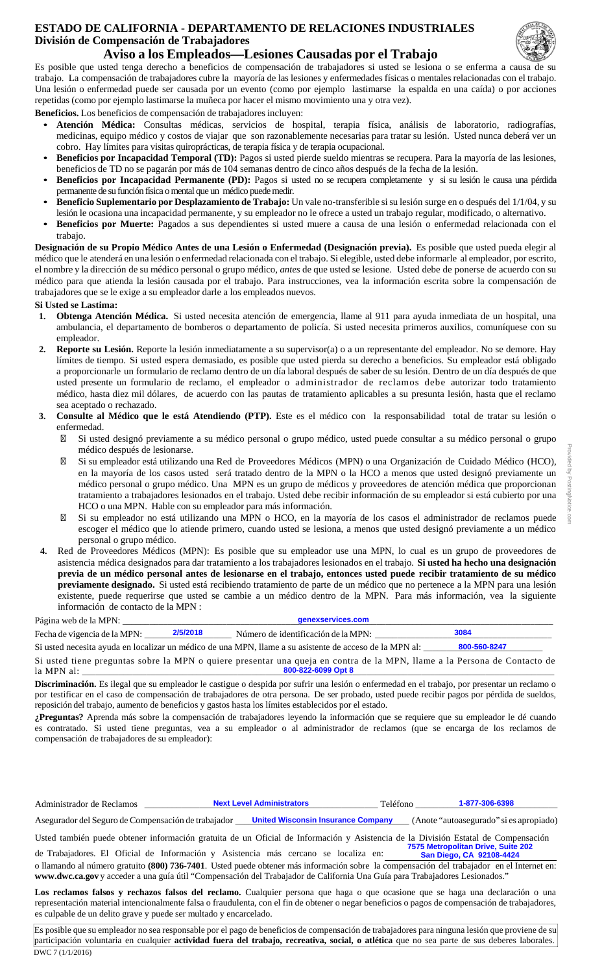## **ESTADO DE CALIFORNIA - DEPARTAMENTO DE RELACIONES INDUSTRIALES División de Compensación de Trabajadores**



**Aviso a los Empleados—Lesiones Causadas por el Trabajo**

Es posible que usted tenga derecho a beneficios de compensación de trabajadores si usted se lesiona o se enferma a causa de su trabajo. La compensación de trabajadores cubre la mayoría de las lesiones y enfermedades físicas o mentales relacionadas con el trabajo. Una lesión o enfermedad puede ser causada por un evento (como por ejemplo lastimarse la espalda en una caída) o por acciones repetidas (como por ejemplo lastimarse la muñeca por hacer el mismo movimiento una y otra vez).

**Beneficios.** Los beneficios de compensación de trabajadores incluyen:

- **Atención Médica:** Consultas médicas, servicios de hospital, terapia física, análisis de laboratorio, radiografías, medicinas, equipo médico y costos de viajar que son razonablemente necesarias para tratar su lesión. Usted nunca deberá ver un cobro. Hay límites para visitas quiroprácticas, de terapia física y de terapia ocupacional.
- **Beneficios por Incapacidad Temporal (TD):** Pagos si usted pierde sueldo mientras se recupera. Para la mayoría de las lesiones, beneficios de TD no se pagarán por más de 104 semanas dentro de cinco años después de la fecha de la lesión.
- **Beneficios por Incapacidad Permanente (PD):** Pagos si usted no se recupera completamente y si su lesión le causa una pérdida permanente de su función física o mental que un médico puede medir.
- **Beneficio Suplementario por Desplazamiento de Trabajo:** Un vale no-transferible si su lesión surge en o después del 1/1/04, y su lesión le ocasiona una incapacidad permanente, y su empleador no le ofrece a usted un trabajo regular, modificado, o alternativo.
- **Beneficios por Muerte:** Pagados a sus dependientes si usted muere a causa de una lesión o enfermedad relacionada con el trabajo.

**Designación de su Propio Médico Antes de una Lesión o Enfermedad (Designación previa).** Es posible que usted pueda elegir al médico que le atenderá en una lesión o enfermedad relacionada con el trabajo. Si elegible, usted debe informarle al empleador, por escrito, el nombre y la dirección de su médico personal o grupo médico, *antes* de que usted se lesione. Usted debe de ponerse de acuerdo con su médico para que atienda la lesión causada por el trabajo. Para instrucciones, vea la información escrita sobre la compensación de trabajadores que se le exige a su empleador darle a los empleados nuevos.

**Si Usted se Lastima:**

- **1. Obtenga Atención Médica.** Si usted necesita atención de emergencia, llame al 911 para ayuda inmediata de un hospital, una ambulancia, el departamento de bomberos o departamento de policía. Si usted necesita primeros auxilios, comuníquese con su empleador.
- **2. Reporte su Lesión.** Reporte la lesión inmediatamente a su supervisor(a) o a un representante del empleador. No se demore. Hay límites de tiempo. Si usted espera demasiado, es posible que usted pierda su derecho a beneficios. Su empleador está obligado a proporcionarle un formulario de reclamo dentro de un día laboral después de saber de su lesión. Dentro de un día después de que usted presente un formulario de reclamo, el empleador o administrador de reclamos debe autorizar todo tratamiento médico, hasta diez mil dólares, de acuerdo con las pautas de tratamiento aplicables a su presunta lesión, hasta que el reclamo sea aceptado o rechazado.
- **3. Consulte al Médico que le está Atendiendo (PTP).** Este es el médico con la responsabilidad total de tratar su lesión o enfermedad.

Si usted designó previamente a su médico personal o grupo médico, usted puede consultar a su médico personal o grupo médico después de lesionarse.

Si su empleador está utilizando una Red de Proveedores Médicos (MPN) o una Organización de Cuidado Médico (HCO), en la mayoría de los casos usted será tratado dentro de la MPN o la HCO a menos que usted designó previamente un médico personal o grupo médico. Una MPN es un grupo de médicos y proveedores de atención médica que proporcionan tratamiento a trabajadores lesionados en el trabajo. Usted debe recibir información de su empleador si está cubierto por una HCO o una MPN. Hable con su empleador para más información.

Si su empleador no está utilizando una MPN o HCO, en la mayoría de los casos el administrador de reclamos puede escoger el médico que lo atiende primero, cuando usted se lesiona, a menos que usted designó previamente a un médico personal o grupo médico.

**4.** Red de Proveedores Médicos (MPN): Es posible que su empleador use una MPN, lo cual es un grupo de proveedores de asistencia médica designados para dar tratamiento a los trabajadores lesionados en el trabajo. **Si usted ha hecho una designación previa de un médico personal antes de lesionarse en el trabajo, entonces usted puede recibir tratamiento de su médico previamente designado.** Si usted está recibiendo tratamiento de parte de un médico que no pertenece a la MPN para una lesión existente, puede requerirse que usted se cambie a un médico dentro de la MPN. Para más información, vea la siguiente información de contacto de la MPN :

| Página web de la MPN:<br>denexservices.com |          |                                                                                                         |              |
|--------------------------------------------|----------|---------------------------------------------------------------------------------------------------------|--------------|
| Fecha de vigencia de la MPN:               | 2/5/2018 | Número de identificación de la MPN:                                                                     | 3084         |
|                                            |          | Si usted necesita avuda en localizar un médico de una MPN. Ilame a su asistente de acceso de la MPN al: | 800-560-8247 |

Si usted tiene preguntas sobre la MPN o quiere presentar una queja en contra de la MPN, llame a la Persona de Contacto de la MPN al: \_\_\_\_\_\_\_\_\_\_\_\_\_\_\_\_\_\_\_\_\_\_\_\_\_\_\_\_\_\_\_\_\_\_\_\_\_\_\_\_\_\_\_\_\_\_\_\_\_\_\_\_\_\_\_\_\_\_\_\_\_\_\_\_\_\_\_\_\_\_\_\_\_\_\_\_\_\_\_\_\_\_\_\_\_\_\_\_\_\_\_\_\_\_\_\_\_\_\_\_\_\_\_ **800-822-6099 Opt 8**

**Discriminación.** Es ilegal que su empleador le castigue o despida por sufrir una lesión o enfermedad en el trabajo, por presentar un reclamo o por testificar en el caso de compensación de trabajadores de otra persona. De ser probado, usted puede recibir pagos por pérdida de sueldos, reposición del trabajo, aumento de beneficios y gastos hasta los límites establecidos por el estado.

**¿Preguntas?** Aprenda más sobre la compensación de trabajadores leyendo la información que se requiere que su empleador le dé cuando es contratado. Si usted tiene preguntas, vea a su empleador o al administrador de reclamos (que se encarga de los reclamos de compensación de trabajadores de su empleador):

Administrador de Reclamos \_\_\_\_\_\_\_\_\_\_\_\_\_\_\_\_\_\_\_\_\_\_\_\_\_\_\_\_\_\_\_\_\_\_\_\_\_\_\_\_\_\_\_\_\_\_\_\_\_\_\_ Teléfono \_\_\_\_\_\_\_\_\_\_\_\_\_\_\_\_\_\_\_\_\_\_\_\_\_\_\_\_\_\_\_ **Next Level Administrators** 

Asegurador del Seguro de Compensación de trabajador **United Wisconsin Insurance Company** (Anote "autoasegurado" si es apropiado)

Usted también puede obtener información gratuita de un Oficial de Información y Asistencia de la División Estatal de Compensación de Trabajadores. El Oficial de Información y Asistencia más cercano se localiza en: **7575 Metropolitan Drive, Suite 202 San Diego, CA 92108-4424**

o llamando al número gratuito **(800) 736-7401**. Usted puede obtener más información sobre la compensación del trabajador en el Internet en: **www.dwc.ca.gov** y acceder a una guía útil "Compensación del Trabajador de California Una Guía para Trabajadores Lesionados."

Los reclamos falsos y rechazos falsos del reclamo. Cualquier persona que haga o que ocasione que se haga una declaración o una representación material intencionalmente falsa o fraudulenta, con el fin de obtener o negar beneficios o pagos de compensación de trabajadores, es culpable de un delito grave y puede ser multado y encarcelado.

DWC 7 (1/1/2016) Es posible que su empleador no sea responsable por el pago de beneficios de compensación de trabajadores para ninguna lesión que proviene de su participación voluntaria en cualquier **actividad fuera del trabajo, recreativa, social, o atlética** que no sea parte de sus deberes laborales.